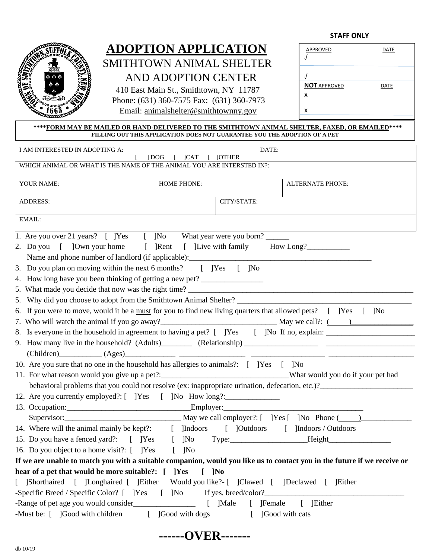**STAFF ONLY**



# **ADOPTION APPLICATION** SMITHTOWN ANIMAL SHELTER AND ADOPTION CENTER

 410 East Main St., Smithtown, NY 11787 Phone: (631) 360-7575 Fax: (631) 360-7973 Email: [animalshelter@smithtownny.gov](mailto:animalshelter@smithtownny.gov)

| APPROVED                 | DATE        |
|--------------------------|-------------|
| <b>NOT APPROVED</b><br>x | <b>DATE</b> |
| x                        |             |

## \*\*\*\*FORM MAY BE MAILED OR HAND-DELIVERED TO THE SMITHTOWN ANIMAL SHELTER, FAXED, OR EMAILED \*\*\*\* **FILLING OUT THIS APPLICATION DOES NOT GUARANTEE YOU THE ADOPTION OF A PET**

| I AM INTERESTED IN ADOPTING A:                                                                                                        | 1DOG<br> CAT                       | DATE:<br><b>JOTHER</b> |                  |  |
|---------------------------------------------------------------------------------------------------------------------------------------|------------------------------------|------------------------|------------------|--|
| WHICH ANIMAL OR WHAT IS THE NAME OF THE ANIMAL YOU ARE INTERSTED IN?:                                                                 |                                    |                        |                  |  |
|                                                                                                                                       |                                    |                        |                  |  |
| YOUR NAME:                                                                                                                            | <b>HOME PHONE:</b>                 |                        | ALTERNATE PHONE: |  |
| ADDRESS:                                                                                                                              | CITY/STATE:                        |                        |                  |  |
| EMAIL:                                                                                                                                |                                    |                        |                  |  |
| 1. Are you over 21 years? [ ]Yes [ ]No What year were you born?                                                                       |                                    |                        |                  |  |
| 2. Do you [ ]Own your home [ ]Rent [ ]Live with family How Long?                                                                      |                                    |                        |                  |  |
|                                                                                                                                       |                                    |                        |                  |  |
| 3. Do you plan on moving within the next 6 months? [ ]Yes [ ]No                                                                       |                                    |                        |                  |  |
| 4. How long have you been thinking of getting a new pet?                                                                              |                                    |                        |                  |  |
| 5. What made you decide that now was the right time?                                                                                  |                                    |                        |                  |  |
| 5. Why did you choose to adopt from the Smithtown Animal Shelter?                                                                     |                                    |                        |                  |  |
| 6. If you were to move, would it be a must for you to find new living quarters that allowed pets? [ ] Yes [ ] No                      |                                    |                        |                  |  |
|                                                                                                                                       |                                    |                        |                  |  |
|                                                                                                                                       |                                    |                        |                  |  |
| 9. How many live in the household? (Adults) (Relationship) (Relationship and the contract of the many live in the household? (Adults) |                                    |                        |                  |  |
|                                                                                                                                       |                                    |                        |                  |  |
| 10. Are you sure that no one in the household has allergies to animals?: [ ]Yes [ ]No                                                 |                                    |                        |                  |  |
| 11. For what reason would you give up a pet?:___________________________________What would you do if your pet had                     |                                    |                        |                  |  |
| behavioral problems that you could not resolve (ex: inappropriate urination, defecation, etc.)?                                       |                                    |                        |                  |  |
| 12. Are you currently employed?: [ ] Yes [ ] No How long?: _____________________                                                      |                                    |                        |                  |  |
|                                                                                                                                       |                                    |                        |                  |  |
|                                                                                                                                       |                                    |                        |                  |  |
| 14. Where will the animal mainly be kept?: [ ]Indoors [ ]Outdoors [ ]Indoors / Outdoors                                               |                                    |                        |                  |  |
|                                                                                                                                       |                                    |                        |                  |  |
| 16. Do you object to a home visit?: [ ]Yes                                                                                            | $[$ ]No                            |                        |                  |  |
| If we are unable to match you with a suitable companion, would you like us to contact you in the future if we receive or              |                                    |                        |                  |  |
| hear of a pet that would be more suitable?: [ ]Yes                                                                                    | $\begin{bmatrix} \end{bmatrix}$ No |                        |                  |  |
| [ ]Shorthaired [ ]Longhaired [ ]Either Would you like?- [ ]Clawed [ ]Declawed [ ]Either                                               |                                    |                        |                  |  |
|                                                                                                                                       |                                    |                        |                  |  |
| -Range of pet age you would consider<br><u>[</u> ]Male<br>[ ]Female<br>[ ]Either                                                      |                                    |                        |                  |  |
| -Must be: [ ]Good with children                                                                                                       |                                    | $\lceil$               | Good with cats   |  |
|                                                                                                                                       |                                    |                        |                  |  |